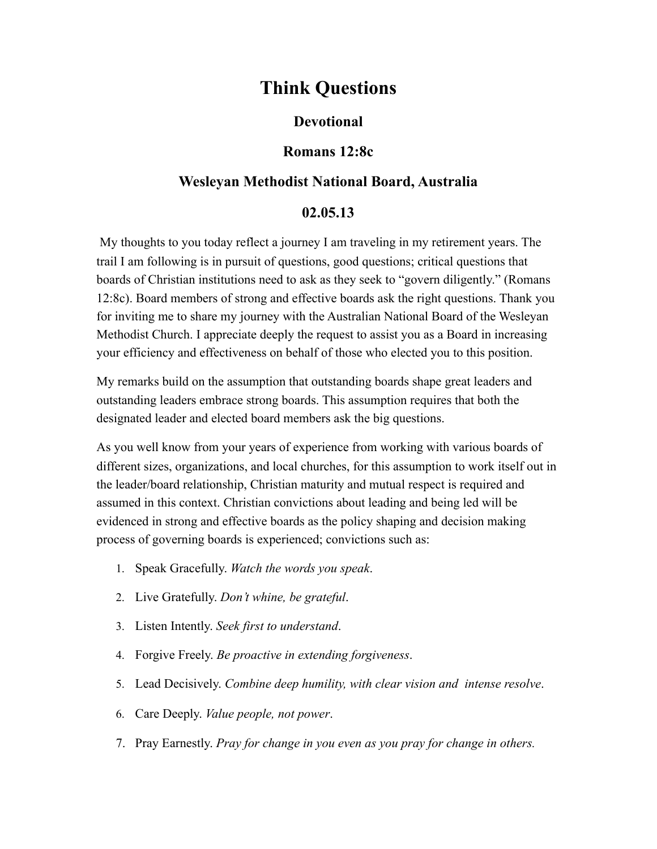# **Think Questions**

# **Devotional**

## **Romans 12:8c**

# **Wesleyan Methodist National Board, Australia**

### **02.05.13**

 My thoughts to you today reflect a journey I am traveling in my retirement years. The trail I am following is in pursuit of questions, good questions; critical questions that boards of Christian institutions need to ask as they seek to "govern diligently." (Romans 12:8c). Board members of strong and effective boards ask the right questions. Thank you for inviting me to share my journey with the Australian National Board of the Wesleyan Methodist Church. I appreciate deeply the request to assist you as a Board in increasing your efficiency and effectiveness on behalf of those who elected you to this position.

My remarks build on the assumption that outstanding boards shape great leaders and outstanding leaders embrace strong boards. This assumption requires that both the designated leader and elected board members ask the big questions.

As you well know from your years of experience from working with various boards of different sizes, organizations, and local churches, for this assumption to work itself out in the leader/board relationship, Christian maturity and mutual respect is required and assumed in this context. Christian convictions about leading and being led will be evidenced in strong and effective boards as the policy shaping and decision making process of governing boards is experienced; convictions such as:

- 1. Speak Gracefully. *Watch the words you speak*.
- 2. Live Gratefully. *Don't whine, be grateful*.
- 3. Listen Intently. *Seek first to understand*.
- 4. Forgive Freely. *Be proactive in extending forgiveness*.
- 5. Lead Decisively. *Combine deep humility, with clear vision and intense resolve*.
- 6. Care Deeply. *Value people, not power*.
- 7. Pray Earnestly. *Pray for change in you even as you pray for change in others.*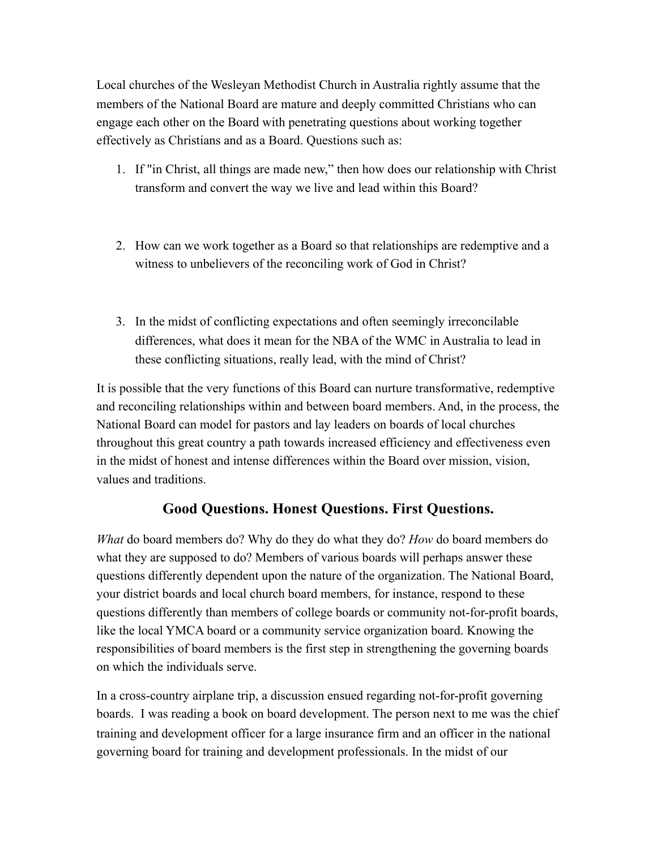Local churches of the Wesleyan Methodist Church in Australia rightly assume that the members of the National Board are mature and deeply committed Christians who can engage each other on the Board with penetrating questions about working together effectively as Christians and as a Board. Questions such as:

- 1. If "in Christ, all things are made new," then how does our relationship with Christ transform and convert the way we live and lead within this Board?
- 2. How can we work together as a Board so that relationships are redemptive and a witness to unbelievers of the reconciling work of God in Christ?
- 3. In the midst of conflicting expectations and often seemingly irreconcilable differences, what does it mean for the NBA of the WMC in Australia to lead in these conflicting situations, really lead, with the mind of Christ?

It is possible that the very functions of this Board can nurture transformative, redemptive and reconciling relationships within and between board members. And, in the process, the National Board can model for pastors and lay leaders on boards of local churches throughout this great country a path towards increased efficiency and effectiveness even in the midst of honest and intense differences within the Board over mission, vision, values and traditions.

# **Good Questions. Honest Questions. First Questions.**

*What* do board members do? Why do they do what they do? *How* do board members do what they are supposed to do? Members of various boards will perhaps answer these questions differently dependent upon the nature of the organization. The National Board, your district boards and local church board members, for instance, respond to these questions differently than members of college boards or community not-for-profit boards, like the local YMCA board or a community service organization board. Knowing the responsibilities of board members is the first step in strengthening the governing boards on which the individuals serve.

In a cross-country airplane trip, a discussion ensued regarding not-for-profit governing boards. I was reading a book on board development. The person next to me was the chief training and development officer for a large insurance firm and an officer in the national governing board for training and development professionals. In the midst of our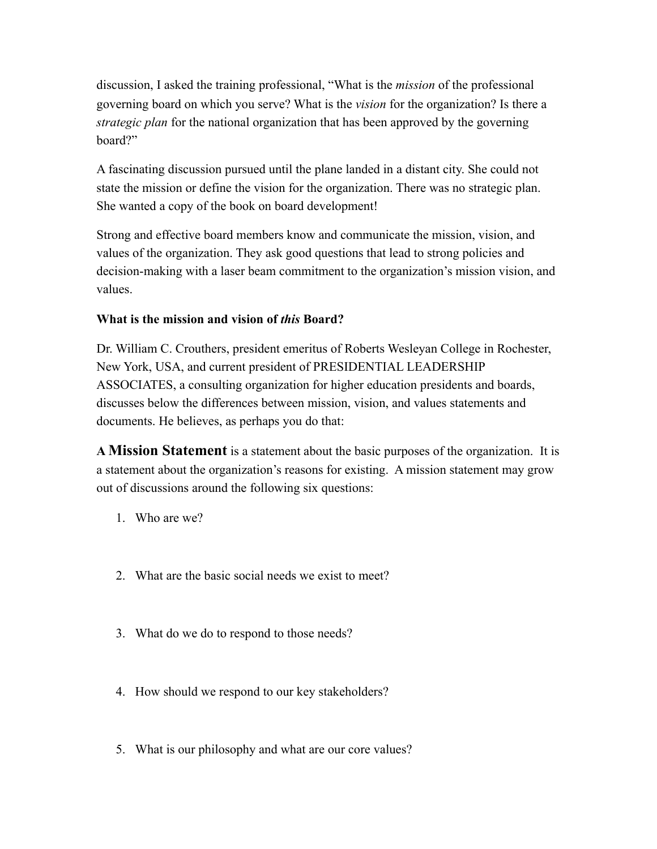discussion, I asked the training professional, "What is the *mission* of the professional governing board on which you serve? What is the *vision* for the organization? Is there a *strategic plan* for the national organization that has been approved by the governing board?"

A fascinating discussion pursued until the plane landed in a distant city. She could not state the mission or define the vision for the organization. There was no strategic plan. She wanted a copy of the book on board development!

Strong and effective board members know and communicate the mission, vision, and values of the organization. They ask good questions that lead to strong policies and decision-making with a laser beam commitment to the organization's mission vision, and values.

### **What is the mission and vision of** *this* **Board?**

Dr. William C. Crouthers, president emeritus of Roberts Wesleyan College in Rochester, New York, USA, and current president of PRESIDENTIAL LEADERSHIP ASSOCIATES, a consulting organization for higher education presidents and boards, discusses below the differences between mission, vision, and values statements and documents. He believes, as perhaps you do that:

**A Mission Statement** is a statement about the basic purposes of the organization. It is a statement about the organization's reasons for existing. A mission statement may grow out of discussions around the following six questions:

- 1. Who are we?
- 2. What are the basic social needs we exist to meet?
- 3. What do we do to respond to those needs?
- 4. How should we respond to our key stakeholders?
- 5. What is our philosophy and what are our core values?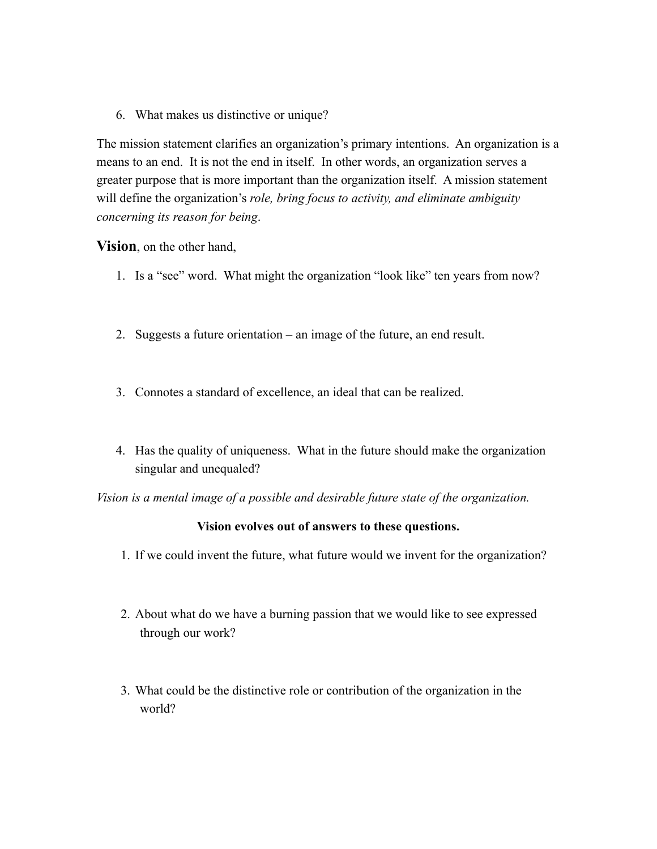6. What makes us distinctive or unique?

The mission statement clarifies an organization's primary intentions. An organization is a means to an end. It is not the end in itself. In other words, an organization serves a greater purpose that is more important than the organization itself. A mission statement will define the organization's *role, bring focus to activity, and eliminate ambiguity concerning its reason for being*.

#### **Vision**, on the other hand,

- 1. Is a "see" word. What might the organization "look like" ten years from now?
- 2. Suggests a future orientation an image of the future, an end result.
- 3. Connotes a standard of excellence, an ideal that can be realized.
- 4. Has the quality of uniqueness. What in the future should make the organization singular and unequaled?

*Vision is a mental image of a possible and desirable future state of the organization.*

#### **Vision evolves out of answers to these questions.**

- 1. If we could invent the future, what future would we invent for the organization?
- 2. About what do we have a burning passion that we would like to see expressed through our work?
- 3. What could be the distinctive role or contribution of the organization in the world?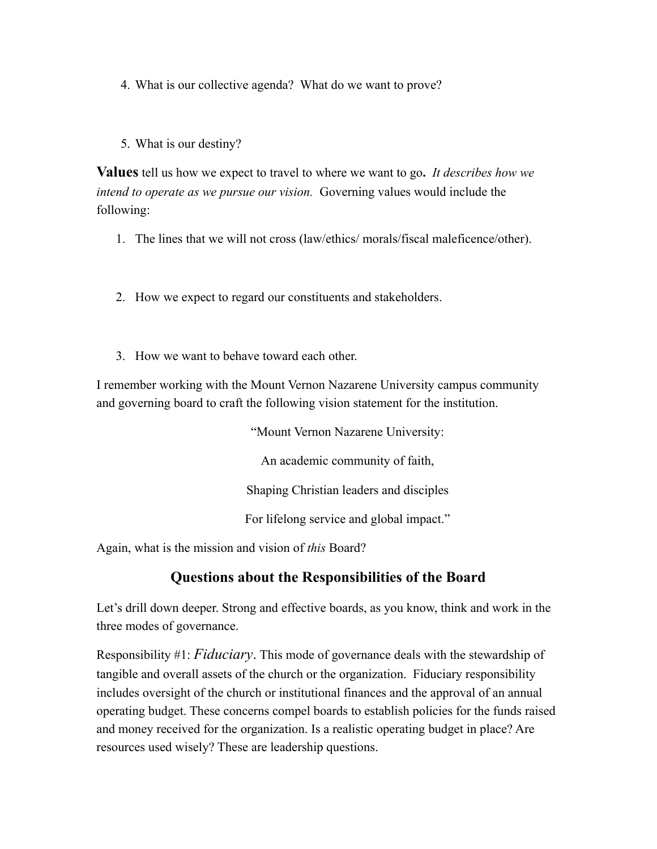4. What is our collective agenda? What do we want to prove?

5. What is our destiny?

**Values** tell us how we expect to travel to where we want to go**.** *It describes how we intend to operate as we pursue our vision.* Governing values would include the following:

- 1. The lines that we will not cross (law/ethics/ morals/fiscal maleficence/other).
- 2. How we expect to regard our constituents and stakeholders.
- 3. How we want to behave toward each other.

I remember working with the Mount Vernon Nazarene University campus community and governing board to craft the following vision statement for the institution.

> "Mount Vernon Nazarene University: An academic community of faith, Shaping Christian leaders and disciples For lifelong service and global impact."

Again, what is the mission and vision of *this* Board?

# **Questions about the Responsibilities of the Board**

Let's drill down deeper. Strong and effective boards, as you know, think and work in the three modes of governance.

Responsibility #1: *Fiduciary*. This mode of governance deals with the stewardship of tangible and overall assets of the church or the organization. Fiduciary responsibility includes oversight of the church or institutional finances and the approval of an annual operating budget. These concerns compel boards to establish policies for the funds raised and money received for the organization. Is a realistic operating budget in place? Are resources used wisely? These are leadership questions.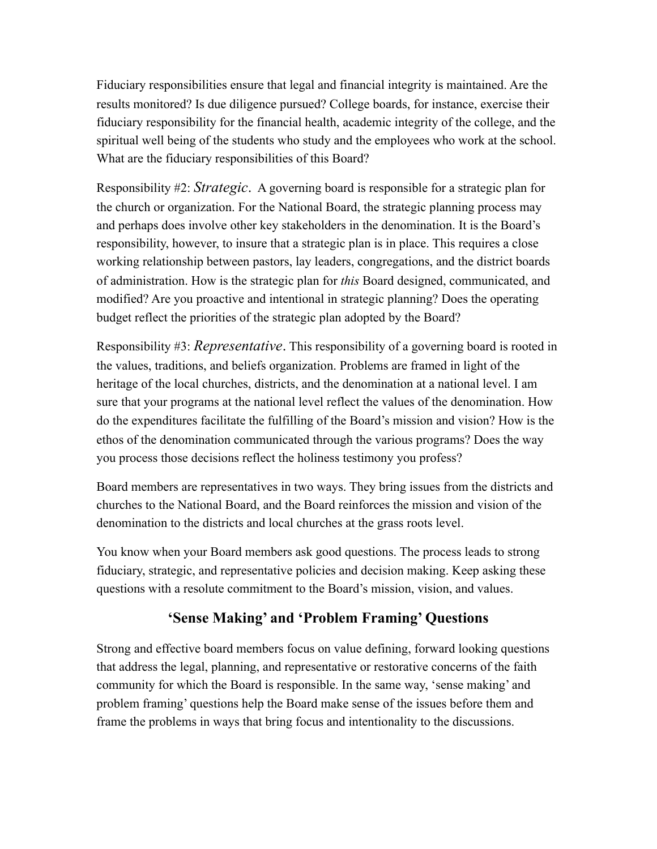Fiduciary responsibilities ensure that legal and financial integrity is maintained. Are the results monitored? Is due diligence pursued? College boards, for instance, exercise their fiduciary responsibility for the financial health, academic integrity of the college, and the spiritual well being of the students who study and the employees who work at the school. What are the fiduciary responsibilities of this Board?

Responsibility #2: *Strategic*. A governing board is responsible for a strategic plan for the church or organization. For the National Board, the strategic planning process may and perhaps does involve other key stakeholders in the denomination. It is the Board's responsibility, however, to insure that a strategic plan is in place. This requires a close working relationship between pastors, lay leaders, congregations, and the district boards of administration. How is the strategic plan for *this* Board designed, communicated, and modified? Are you proactive and intentional in strategic planning? Does the operating budget reflect the priorities of the strategic plan adopted by the Board?

Responsibility #3: *Representative*. This responsibility of a governing board is rooted in the values, traditions, and beliefs organization. Problems are framed in light of the heritage of the local churches, districts, and the denomination at a national level. I am sure that your programs at the national level reflect the values of the denomination. How do the expenditures facilitate the fulfilling of the Board's mission and vision? How is the ethos of the denomination communicated through the various programs? Does the way you process those decisions reflect the holiness testimony you profess?

Board members are representatives in two ways. They bring issues from the districts and churches to the National Board, and the Board reinforces the mission and vision of the denomination to the districts and local churches at the grass roots level.

You know when your Board members ask good questions. The process leads to strong fiduciary, strategic, and representative policies and decision making. Keep asking these questions with a resolute commitment to the Board's mission, vision, and values.

# **'Sense Making' and 'Problem Framing' Questions**

Strong and effective board members focus on value defining, forward looking questions that address the legal, planning, and representative or restorative concerns of the faith community for which the Board is responsible. In the same way, 'sense making' and problem framing' questions help the Board make sense of the issues before them and frame the problems in ways that bring focus and intentionality to the discussions.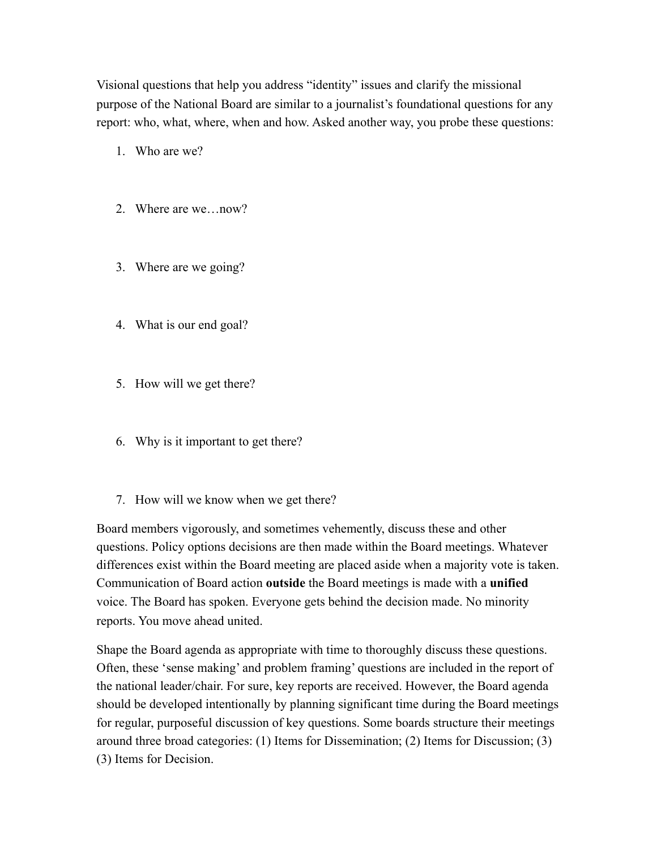Visional questions that help you address "identity" issues and clarify the missional purpose of the National Board are similar to a journalist's foundational questions for any report: who, what, where, when and how. Asked another way, you probe these questions:

- 1. Who are we?
- 2. Where are we…now?
- 3. Where are we going?
- 4. What is our end goal?
- 5. How will we get there?
- 6. Why is it important to get there?
- 7. How will we know when we get there?

Board members vigorously, and sometimes vehemently, discuss these and other questions. Policy options decisions are then made within the Board meetings. Whatever differences exist within the Board meeting are placed aside when a majority vote is taken. Communication of Board action **outside** the Board meetings is made with a **unified** voice. The Board has spoken. Everyone gets behind the decision made. No minority reports. You move ahead united.

Shape the Board agenda as appropriate with time to thoroughly discuss these questions. Often, these 'sense making' and problem framing' questions are included in the report of the national leader/chair. For sure, key reports are received. However, the Board agenda should be developed intentionally by planning significant time during the Board meetings for regular, purposeful discussion of key questions. Some boards structure their meetings around three broad categories: (1) Items for Dissemination; (2) Items for Discussion; (3) (3) Items for Decision.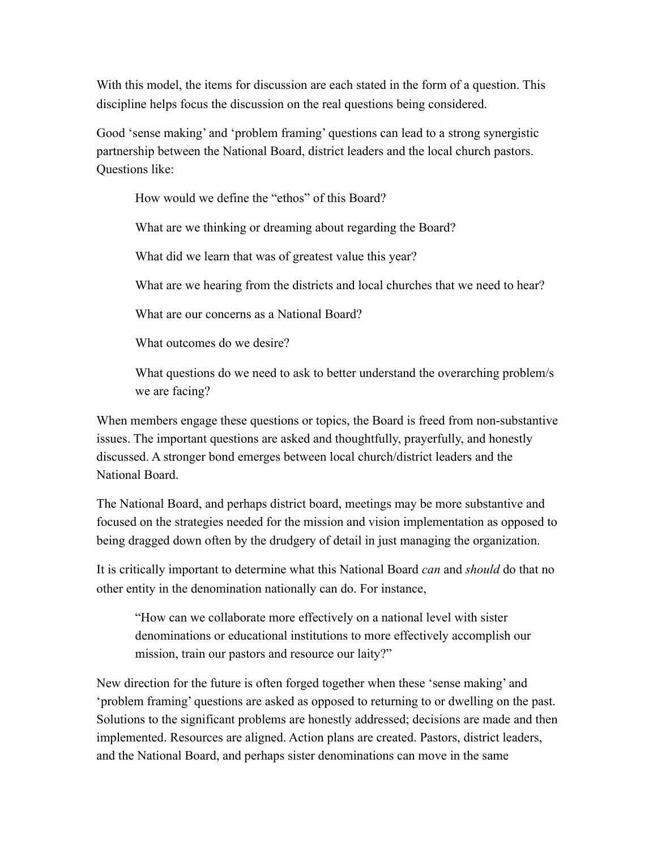With this model, the items for discussion are each stated in the form of a question. This discipline helps focus the discussion on the real questions being considered.

Good 'sense making' and 'problem framing' questions can lead to a strong synergistic partnership between the National Board, district leaders and the local church pastors. Questions like:

How would we define the "ethos" of this Board?

What are we thinking or dreaming about regarding the Board?

What did we learn that was of greatest value this year?

What are we hearing from the districts and local churches that we need to hear?

What are our concerns as a National Board?

What outcomes do we desire?

What questions do we need to ask to better understand the overarching problem/s we are facing?

When members engage these questions or topics, the Board is freed from non-substantive issues. The important questions are asked and thoughtfully, prayerfully, and honestly discussed. A stronger bond emerges between local church/district leaders and the National Board.

The National Board, and perhaps district board, meetings may be more substantive and focused on the strategies needed for the mission and vision implementation as opposed to being dragged down often by the drudgery of detail in just managing the organization.

It is critically important to determine what this National Board *can* and *should* do that no other entity in the denomination nationally can do. For instance,

"How can we collaborate more effectively on a national level with sister denominations or educational institutions to more effectively accomplish our mission, train our pastors and resource our laity?"

New direction for the future is often forged together when these 'sense making' and 'problem framing' questions are asked as opposed to returning to or dwelling on the past. Solutions to the significant problems are honestly addressed; decisions are made and then implemented. Resources are aligned. Action plans are created. Pastors, district leaders, and the National Board, and perhaps sister denominations can move in the same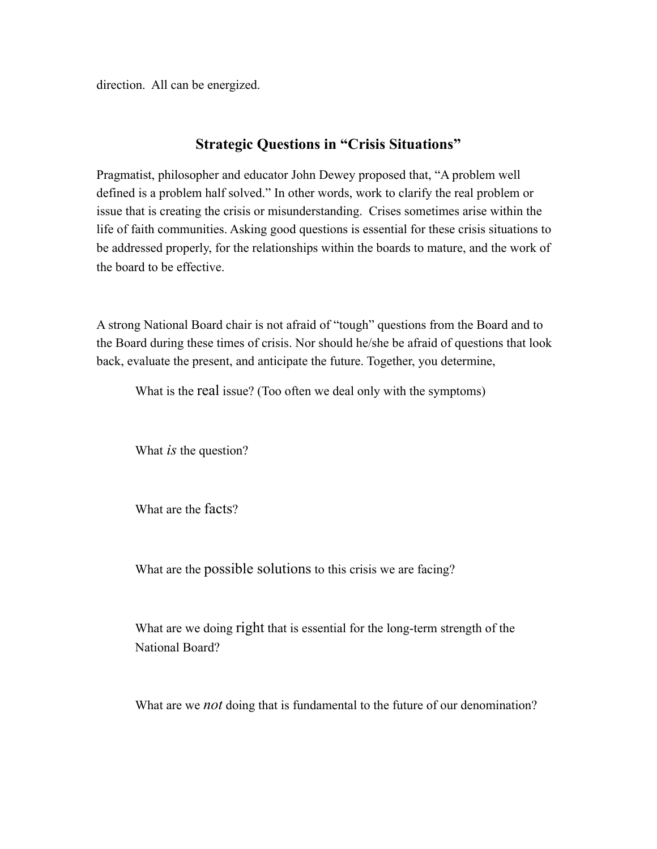direction. All can be energized.

## **Strategic Questions in "Crisis Situations"**

Pragmatist, philosopher and educator John Dewey proposed that, "A problem well defined is a problem half solved." In other words, work to clarify the real problem or issue that is creating the crisis or misunderstanding. Crises sometimes arise within the life of faith communities. Asking good questions is essential for these crisis situations to be addressed properly, for the relationships within the boards to mature, and the work of the board to be effective.

A strong National Board chair is not afraid of "tough" questions from the Board and to the Board during these times of crisis. Nor should he/she be afraid of questions that look back, evaluate the present, and anticipate the future. Together, you determine,

What is the real issue? (Too often we deal only with the symptoms)

What *is* the question?

What are the facts?

What are the possible solutions to this crisis we are facing?

What are we doing right that is essential for the long-term strength of the National Board?

What are we *not* doing that is fundamental to the future of our denomination?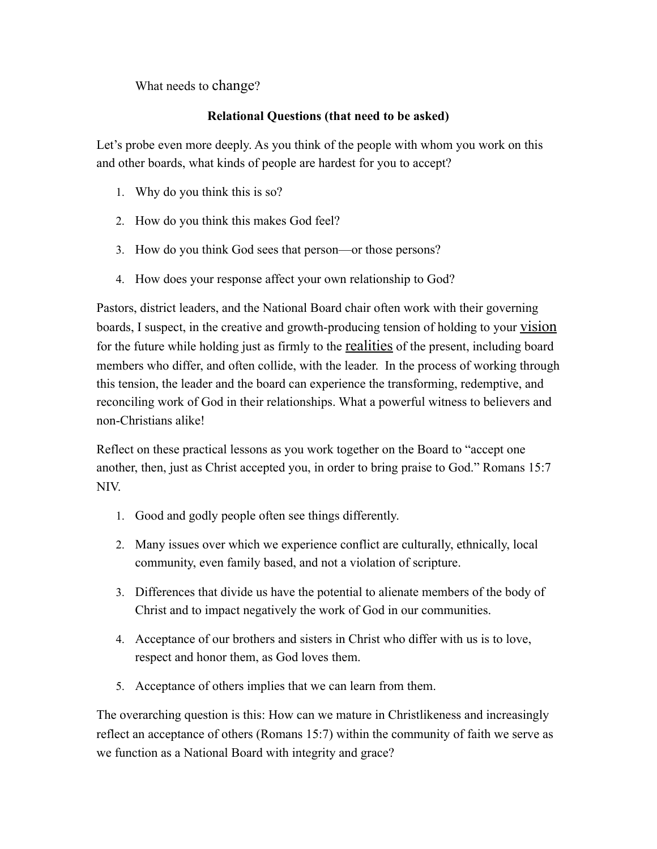What needs to change?

### **Relational Questions (that need to be asked)**

Let's probe even more deeply. As you think of the people with whom you work on this and other boards, what kinds of people are hardest for you to accept?

- 1. Why do you think this is so?
- 2. How do you think this makes God feel?
- 3. How do you think God sees that person—or those persons?
- 4. How does your response affect your own relationship to God?

Pastors, district leaders, and the National Board chair often work with their governing boards, I suspect, in the creative and growth-producing tension of holding to your vision for the future while holding just as firmly to the realities of the present, including board members who differ, and often collide, with the leader. In the process of working through this tension, the leader and the board can experience the transforming, redemptive, and reconciling work of God in their relationships. What a powerful witness to believers and non-Christians alike!

Reflect on these practical lessons as you work together on the Board to "accept one another, then, just as Christ accepted you, in order to bring praise to God." Romans 15:7 NIV.

- 1. Good and godly people often see things differently.
- 2. Many issues over which we experience conflict are culturally, ethnically, local community, even family based, and not a violation of scripture.
- 3. Differences that divide us have the potential to alienate members of the body of Christ and to impact negatively the work of God in our communities.
- 4. Acceptance of our brothers and sisters in Christ who differ with us is to love, respect and honor them, as God loves them.
- 5. Acceptance of others implies that we can learn from them.

The overarching question is this: How can we mature in Christlikeness and increasingly reflect an acceptance of others (Romans 15:7) within the community of faith we serve as we function as a National Board with integrity and grace?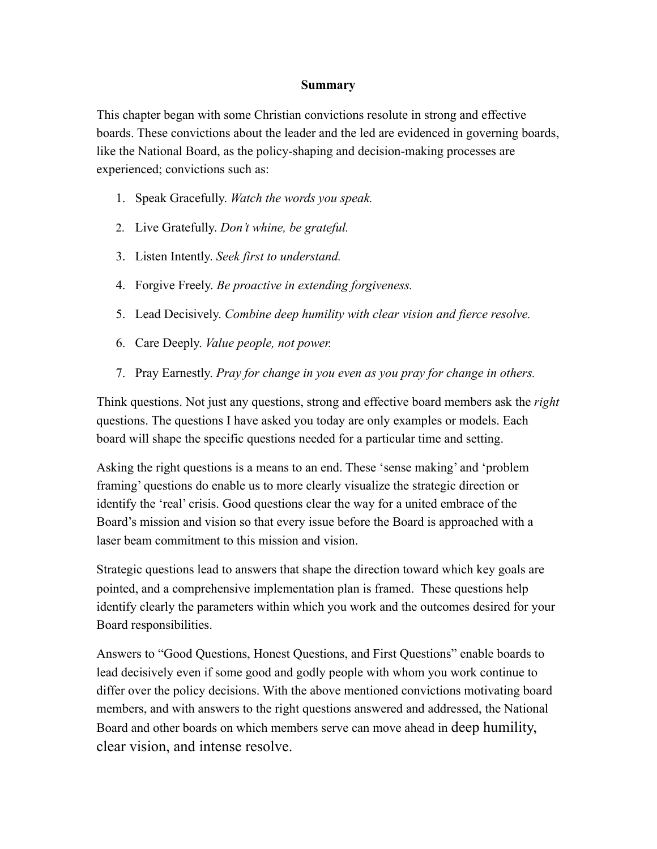#### **Summary**

This chapter began with some Christian convictions resolute in strong and effective boards. These convictions about the leader and the led are evidenced in governing boards, like the National Board, as the policy-shaping and decision-making processes are experienced; convictions such as:

- 1. Speak Gracefully. *Watch the words you speak.*
- 2. Live Gratefully. *Don't whine, be grateful.*
- 3. Listen Intently. *Seek first to understand.*
- 4. Forgive Freely. *Be proactive in extending forgiveness.*
- 5. Lead Decisively. *Combine deep humility with clear vision and fierce resolve.*
- 6. Care Deeply. *Value people, not power.*
- 7. Pray Earnestly. *Pray for change in you even as you pray for change in others.*

Think questions. Not just any questions, strong and effective board members ask the *right*  questions. The questions I have asked you today are only examples or models. Each board will shape the specific questions needed for a particular time and setting.

Asking the right questions is a means to an end. These 'sense making' and 'problem framing' questions do enable us to more clearly visualize the strategic direction or identify the 'real' crisis. Good questions clear the way for a united embrace of the Board's mission and vision so that every issue before the Board is approached with a laser beam commitment to this mission and vision.

Strategic questions lead to answers that shape the direction toward which key goals are pointed, and a comprehensive implementation plan is framed. These questions help identify clearly the parameters within which you work and the outcomes desired for your Board responsibilities.

Answers to "Good Questions, Honest Questions, and First Questions" enable boards to lead decisively even if some good and godly people with whom you work continue to differ over the policy decisions. With the above mentioned convictions motivating board members, and with answers to the right questions answered and addressed, the National Board and other boards on which members serve can move ahead in deep humility, clear vision, and intense resolve.